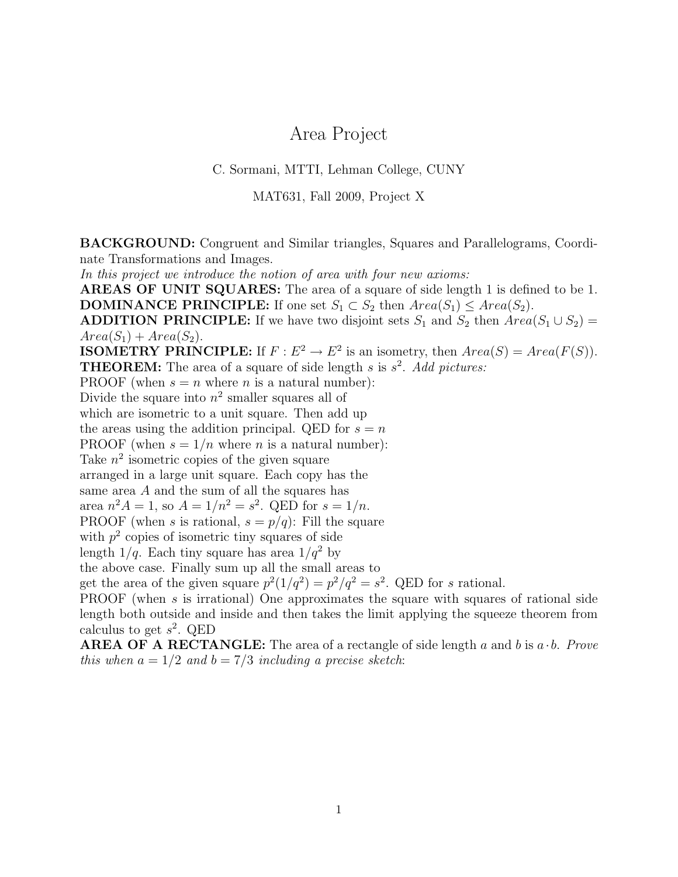## Area Project

## C. Sormani, MTTI, Lehman College, CUNY

MAT631, Fall 2009, Project X

BACKGROUND: Congruent and Similar triangles, Squares and Parallelograms, Coordinate Transformations and Images.

In this project we introduce the notion of area with four new axioms:

AREAS OF UNIT SQUARES: The area of a square of side length 1 is defined to be 1. **DOMINANCE PRINCIPLE:** If one set  $S_1 \subset S_2$  then  $Area(S_1) \leq Area(S_2)$ .

**ADDITION PRINCIPLE:** If we have two disjoint sets  $S_1$  and  $S_2$  then  $Area(S_1 \cup S_2)$  =  $Area(S_1) + Area(S_2).$ 

**ISOMETRY PRINCIPLE:** If  $F : E^2 \to E^2$  is an isometry, then  $Area(S) = Area(F(S))$ .

**THEOREM:** The area of a square of side length s is  $s^2$ . Add pictures:

PROOF (when  $s = n$  where n is a natural number):

Divide the square into  $n^2$  smaller squares all of

which are isometric to a unit square. Then add up

the areas using the addition principal. QED for  $s = n$ 

PROOF (when  $s = 1/n$  where *n* is a natural number):

Take  $n^2$  isometric copies of the given square

arranged in a large unit square. Each copy has the

same area A and the sum of all the squares has

area  $n^2 A = 1$ , so  $A = 1/n^2 = s^2$ . QED for  $s = 1/n$ .

PROOF (when s is rational,  $s = p/q$ ): Fill the square

with  $p^2$  copies of isometric tiny squares of side

length  $1/q$ . Each tiny square has area  $1/q^2$  by

the above case. Finally sum up all the small areas to

get the area of the given square  $p^2(1/q^2) = p^2/q^2 = s^2$ . QED for s rational.

PROOF (when s is irrational) One approximates the square with squares of rational side length both outside and inside and then takes the limit applying the squeeze theorem from calculus to get  $s^2$ . QED

**AREA OF A RECTANGLE:** The area of a rectangle of side length a and b is  $a \cdot b$ . Prove this when  $a = 1/2$  and  $b = 7/3$  including a precise sketch: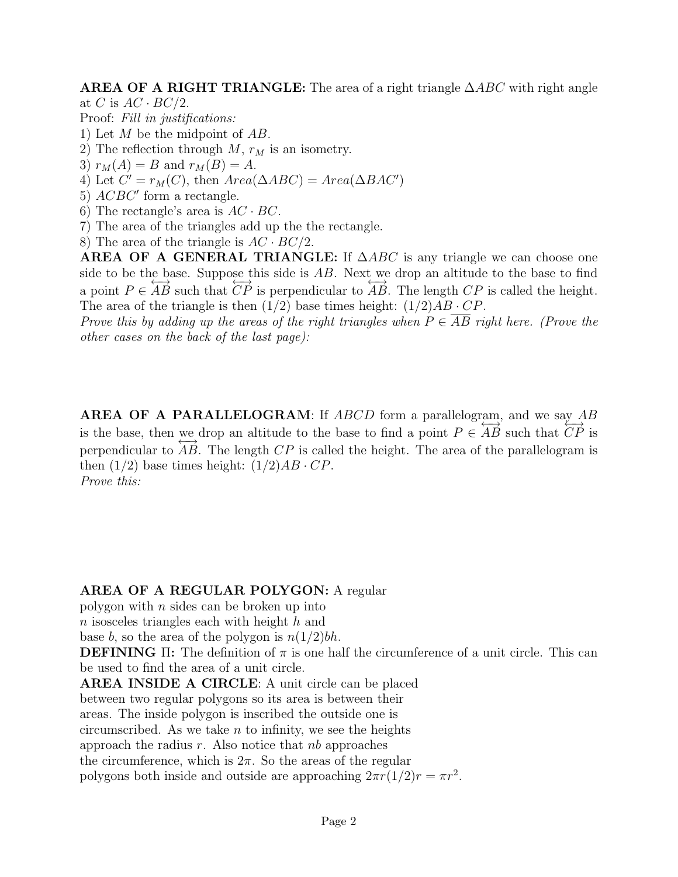**AREA OF A RIGHT TRIANGLE:** The area of a right triangle  $\triangle ABC$  with right angle at C is  $AC \cdot BC/2$ .

- Proof: Fill in justifications:
- 1) Let M be the midpoint of AB.
- 2) The reflection through  $M$ ,  $r_M$  is an isometry.
- 3)  $r_M(A) = B$  and  $r_M(B) = A$ .
- 4) Let  $C' = r_M(C)$ , then  $Area(\Delta ABC) = Area(\Delta BAC')$
- 5)  $ACBC'$  form a rectangle.
- 6) The rectangle's area is  $AC \cdot BC$ .
- 7) The area of the triangles add up the the rectangle.
- 8) The area of the triangle is  $AC \cdot BC/2$ .

**AREA OF A GENERAL TRIANGLE:** If  $\triangle ABC$  is any triangle we can choose one side to be the base. Suppose this side is AB. Next we drop an altitude to the base to find a point  $P \in \overleftrightarrow{AB}$  such that  $\overleftrightarrow{CP}$  is perpendicular to  $\overleftrightarrow{AB}$ . The length  $\overleftrightarrow{CP}$  is called the height. The area of the triangle is then  $(1/2)$  base times height:  $(1/2)AB \cdot CP$ .

Prove this by adding up the areas of the right triangles when  $P \in AB$  right here. (Prove the other cases on the back of the last page):

AREA OF A PARALLELOGRAM: If ABCD form a parallelogram, and we say AB is the base, then we drop an altitude to the base to find a point  $P \in \overrightarrow{AB}$  such that  $\overrightarrow{CP}$  is perpendicular to  $\overrightarrow{AB}$ . The length  $\overrightarrow{CP}$  is called the height. The area of the parallelogram is then  $(1/2)$  base times height:  $(1/2)AB \cdot CP$ . Prove this:

## AREA OF A REGULAR POLYGON: A regular

polygon with  $n$  sides can be broken up into

 $n$  isosceles triangles each with height  $h$  and

base b, so the area of the polygon is  $n(1/2)$ bh.

**DEFINING** II: The definition of  $\pi$  is one half the circumference of a unit circle. This can be used to find the area of a unit circle.

AREA INSIDE A CIRCLE: A unit circle can be placed

between two regular polygons so its area is between their

areas. The inside polygon is inscribed the outside one is

circumscribed. As we take  $n$  to infinity, we see the heights

approach the radius  $r$ . Also notice that  $nb$  approaches

the circumference, which is  $2\pi$ . So the areas of the regular

polygons both inside and outside are approaching  $2\pi r(1/2)r = \pi r^2$ .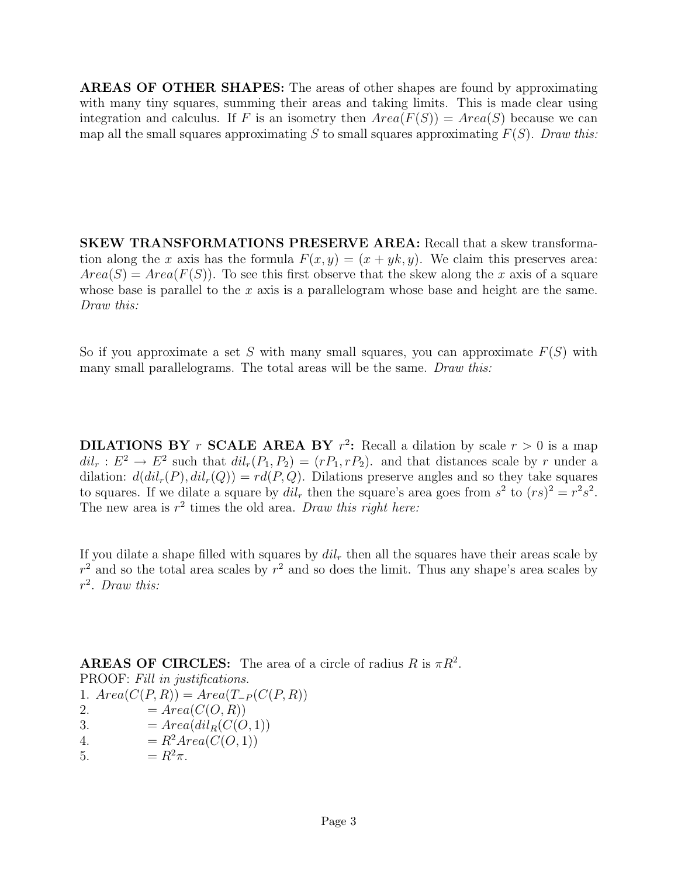AREAS OF OTHER SHAPES: The areas of other shapes are found by approximating with many tiny squares, summing their areas and taking limits. This is made clear using integration and calculus. If F is an isometry then  $Area(F(S)) = Area(S)$  because we can map all the small squares approximating S to small squares approximating  $F(S)$ . Draw this:

SKEW TRANSFORMATIONS PRESERVE AREA: Recall that a skew transformation along the x axis has the formula  $F(x, y) = (x + yk, y)$ . We claim this preserves area:  $Area(S) = Area(F(S))$ . To see this first observe that the skew along the x axis of a square whose base is parallel to the x axis is a parallelogram whose base and height are the same. Draw this:

So if you approximate a set S with many small squares, you can approximate  $F(S)$  with many small parallelograms. The total areas will be the same. Draw this:

**DILATIONS BY** r **SCALE AREA BY**  $r^2$ : Recall a dilation by scale  $r > 0$  is a map  $dil_r: E^2 \to E^2$  such that  $dil_r(P_1, P_2) = (rP_1, rP_2)$  and that distances scale by r under a dilation:  $d(di<sub>r</sub>(P), dil<sub>r</sub>(Q)) = rd(P,Q)$ . Dilations preserve angles and so they take squares to squares. If we dilate a square by  $dil_r$  then the square's area goes from  $s^2$  to  $(rs)^2 = r^2s^2$ . The new area is  $r^2$  times the old area. Draw this right here:

If you dilate a shape filled with squares by  $dil<sub>r</sub>$  then all the squares have their areas scale by  $r<sup>2</sup>$  and so the total area scales by  $r<sup>2</sup>$  and so does the limit. Thus any shape's area scales by r 2 . Draw this:

**AREAS OF CIRCLES:** The area of a circle of radius R is  $\pi R^2$ . PROOF: Fill in justifications. 1.  $Area(C(P,R)) = Area(T_P(C(P,R))$ 2.  $= Area(C(O, R))$ 3.  $= Area(dil_B(C(O, 1)))$ 4.  $= R^2 Area(C(O, 1))$ 5.  $= R^2 \pi$ .